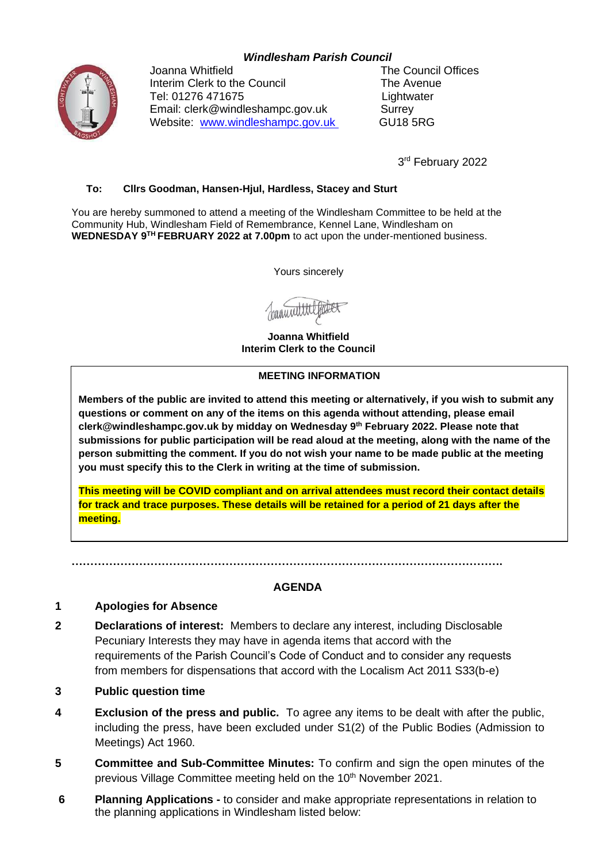# *Windlesham Parish Council*



Joanna Whitfield The Council Offices Interim Clerk to the Council The Avenue Tel: 01276 471675 Lightwater Email: clerk@windleshampc.gov.uk Surrey Website: [www.windleshampc.gov.uk](http://www.windleshampc.gov.uk/) GU18 5RG

3rd February 2022

### **To: Cllrs Goodman, Hansen-Hjul, Hardless, Stacey and Sturt**

You are hereby summoned to attend a meeting of the Windlesham Committee to be held at the Community Hub, Windlesham Field of Remembrance, Kennel Lane, Windlesham on **WEDNESDAY 9 TH FEBRUARY 2022 at 7.00pm** to act upon the under-mentioned business.

Yours sincerely

Januari

**Joanna Whitfield Interim Clerk to the Council**

#### **MEETING INFORMATION**

**Members of the public are invited to attend this meeting or alternatively, if you wish to submit any questions or comment on any of the items on this agenda without attending, please email clerk@windleshampc.gov.uk by midday on Wednesday 9 th February 2022. Please note that submissions for public participation will be read aloud at the meeting, along with the name of the person submitting the comment. If you do not wish your name to be made public at the meeting you must specify this to the Clerk in writing at the time of submission.**

**This meeting will be COVID compliant and on arrival attendees must record their contact details for track and trace purposes. These details will be retained for a period of 21 days after the meeting.** 

**…………………………………………………………………………………………………….**

#### **AGENDA**

#### **1 Apologies for Absence**

- **2 Declarations of interest:** Members to declare any interest, including Disclosable Pecuniary Interests they may have in agenda items that accord with the requirements of the Parish Council's Code of Conduct and to consider any requests from members for dispensations that accord with the Localism Act 2011 S33(b-e)
- **3 Public question time**
- **4 Exclusion of the press and public.** To agree any items to be dealt with after the public, including the press, have been excluded under S1(2) of the Public Bodies (Admission to Meetings) Act 1960.
- **5 Committee and Sub-Committee Minutes:** To confirm and sign the open minutes of the previous Village Committee meeting held on the 10<sup>th</sup> November 2021.
- **6 Planning Applications -** to consider and make appropriate representations in relation to the planning applications in Windlesham listed below: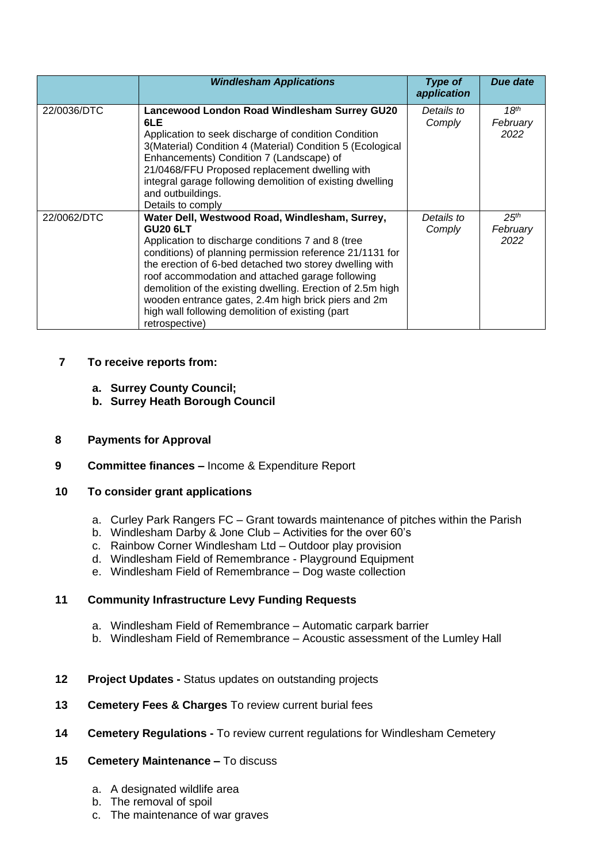|             | <b>Windlesham Applications</b>                                                                                                                                                                                                                                                                                                                                                                                                                                                               | <b>Type of</b><br>application | Due date                             |
|-------------|----------------------------------------------------------------------------------------------------------------------------------------------------------------------------------------------------------------------------------------------------------------------------------------------------------------------------------------------------------------------------------------------------------------------------------------------------------------------------------------------|-------------------------------|--------------------------------------|
| 22/0036/DTC | Lancewood London Road Windlesham Surrey GU20<br>6LE<br>Application to seek discharge of condition Condition<br>3(Material) Condition 4 (Material) Condition 5 (Ecological<br>Enhancements) Condition 7 (Landscape) of<br>21/0468/FFU Proposed replacement dwelling with<br>integral garage following demolition of existing dwelling<br>and outbuildings.<br>Details to comply                                                                                                               | Details to<br>Comply          | 18 <sup>th</sup><br>February<br>2022 |
| 22/0062/DTC | Water Dell, Westwood Road, Windlesham, Surrey,<br><b>GU20 6LT</b><br>Application to discharge conditions 7 and 8 (tree<br>conditions) of planning permission reference 21/1131 for<br>the erection of 6-bed detached two storey dwelling with<br>roof accommodation and attached garage following<br>demolition of the existing dwelling. Erection of 2.5m high<br>wooden entrance gates, 2.4m high brick piers and 2m<br>high wall following demolition of existing (part<br>retrospective) | Details to<br>Comply          | 25 <sup>th</sup><br>February<br>2022 |

# **7 To receive reports from:**

- **a. Surrey County Council;**
- **b. Surrey Heath Borough Council**

### **8 Payments for Approval**

## **9 Committee finances –** Income & Expenditure Report

### **10 To consider grant applications**

- a. Curley Park Rangers FC Grant towards maintenance of pitches within the Parish
- b. Windlesham Darby & Jone Club Activities for the over 60's
- c. Rainbow Corner Windlesham Ltd Outdoor play provision
- d. Windlesham Field of Remembrance Playground Equipment
- e. Windlesham Field of Remembrance Dog waste collection

# **11 Community Infrastructure Levy Funding Requests**

- a. Windlesham Field of Remembrance Automatic carpark barrier
- b. Windlesham Field of Remembrance Acoustic assessment of the Lumley Hall
- **12 Project Updates -** Status updates on outstanding projects
- **13 Cemetery Fees & Charges** To review current burial fees
- **14 Cemetery Regulations -** To review current regulations for Windlesham Cemetery

# **15 Cemetery Maintenance –** To discuss

- a. A designated wildlife area
- b. The removal of spoil
- c. The maintenance of war graves